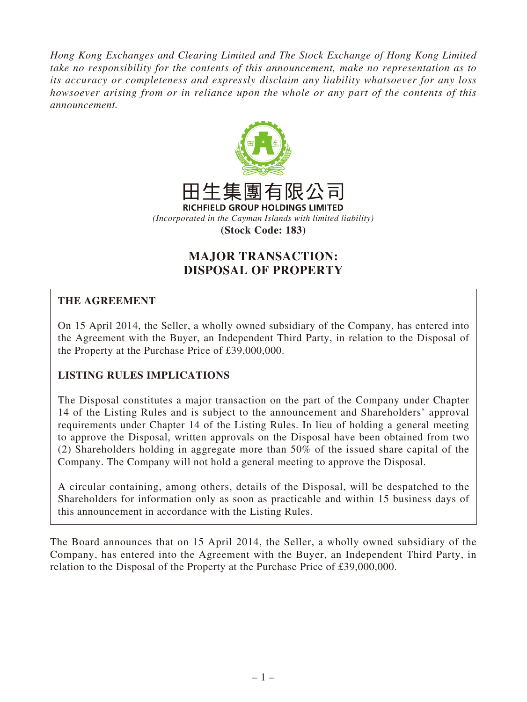*Hong Kong Exchanges and Clearing Limited and The Stock Exchange of Hong Kong Limited take no responsibility for the contents of this announcement, make no representation as to its accuracy or completeness and expressly disclaim any liability whatsoever for any loss howsoever arising from or in reliance upon the whole or any part of the contents of this announcement.*



# **MAJOR TRANSACTION: DISPOSAL OF PROPERTY**

## **THE AGREEMENT**

On 15 April 2014, the Seller, a wholly owned subsidiary of the Company, has entered into the Agreement with the Buyer, an Independent Third Party, in relation to the Disposal of the Property at the Purchase Price of £39,000,000.

# **LISTING RULES IMPLICATIONS**

The Disposal constitutes a major transaction on the part of the Company under Chapter 14 of the Listing Rules and is subject to the announcement and Shareholders' approval requirements under Chapter 14 of the Listing Rules. In lieu of holding a general meeting to approve the Disposal, written approvals on the Disposal have been obtained from two (2) Shareholders holding in aggregate more than 50% of the issued share capital of the Company. The Company will not hold a general meeting to approve the Disposal.

A circular containing, among others, details of the Disposal, will be despatched to the Shareholders for information only as soon as practicable and within 15 business days of this announcement in accordance with the Listing Rules.

The Board announces that on 15 April 2014, the Seller, a wholly owned subsidiary of the Company, has entered into the Agreement with the Buyer, an Independent Third Party, in relation to the Disposal of the Property at the Purchase Price of £39,000,000.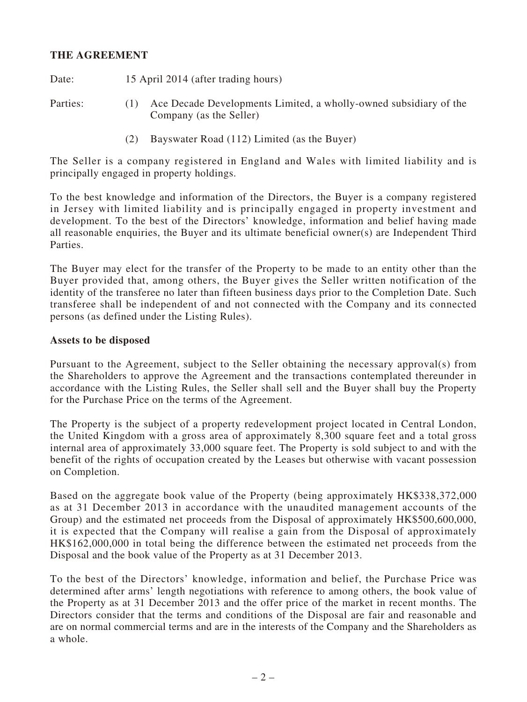#### **THE AGREEMENT**

Date: 15 April 2014 (after trading hours)

- Parties: (1) Ace Decade Developments Limited, a wholly-owned subsidiary of the Company (as the Seller)
	- (2) Bayswater Road (112) Limited (as the Buyer)

The Seller is a company registered in England and Wales with limited liability and is principally engaged in property holdings.

To the best knowledge and information of the Directors, the Buyer is a company registered in Jersey with limited liability and is principally engaged in property investment and development. To the best of the Directors' knowledge, information and belief having made all reasonable enquiries, the Buyer and its ultimate beneficial owner(s) are Independent Third Parties.

The Buyer may elect for the transfer of the Property to be made to an entity other than the Buyer provided that, among others, the Buyer gives the Seller written notification of the identity of the transferee no later than fifteen business days prior to the Completion Date. Such transferee shall be independent of and not connected with the Company and its connected persons (as defined under the Listing Rules).

#### **Assets to be disposed**

Pursuant to the Agreement, subject to the Seller obtaining the necessary approval(s) from the Shareholders to approve the Agreement and the transactions contemplated thereunder in accordance with the Listing Rules, the Seller shall sell and the Buyer shall buy the Property for the Purchase Price on the terms of the Agreement.

The Property is the subject of a property redevelopment project located in Central London, the United Kingdom with a gross area of approximately 8,300 square feet and a total gross internal area of approximately 33,000 square feet. The Property is sold subject to and with the benefit of the rights of occupation created by the Leases but otherwise with vacant possession on Completion.

Based on the aggregate book value of the Property (being approximately HK\$338,372,000 as at 31 December 2013 in accordance with the unaudited management accounts of the Group) and the estimated net proceeds from the Disposal of approximately HK\$500,600,000, it is expected that the Company will realise a gain from the Disposal of approximately HK\$162,000,000 in total being the difference between the estimated net proceeds from the Disposal and the book value of the Property as at 31 December 2013.

To the best of the Directors' knowledge, information and belief, the Purchase Price was determined after arms' length negotiations with reference to among others, the book value of the Property as at 31 December 2013 and the offer price of the market in recent months. The Directors consider that the terms and conditions of the Disposal are fair and reasonable and are on normal commercial terms and are in the interests of the Company and the Shareholders as a whole.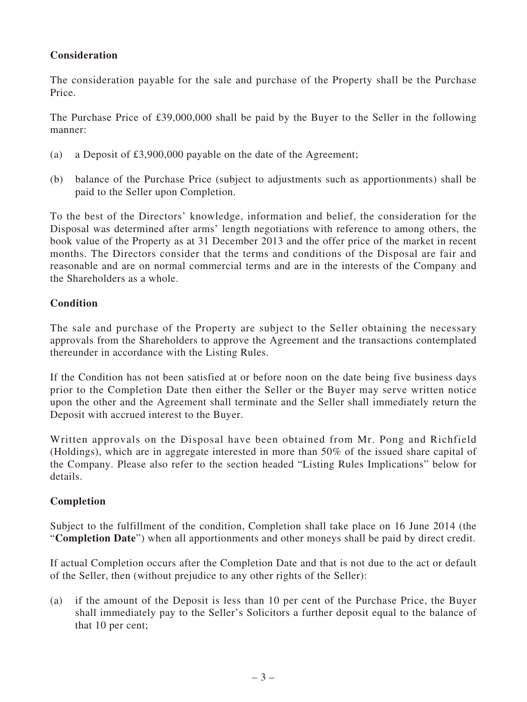# **Consideration**

The consideration payable for the sale and purchase of the Property shall be the Purchase Price.

The Purchase Price of £39,000,000 shall be paid by the Buyer to the Seller in the following manner:

- (a) a Deposit of £3,900,000 payable on the date of the Agreement;
- (b) balance of the Purchase Price (subject to adjustments such as apportionments) shall be paid to the Seller upon Completion.

To the best of the Directors' knowledge, information and belief, the consideration for the Disposal was determined after arms' length negotiations with reference to among others, the book value of the Property as at 31 December 2013 and the offer price of the market in recent months. The Directors consider that the terms and conditions of the Disposal are fair and reasonable and are on normal commercial terms and are in the interests of the Company and the Shareholders as a whole.

#### **Condition**

The sale and purchase of the Property are subject to the Seller obtaining the necessary approvals from the Shareholders to approve the Agreement and the transactions contemplated thereunder in accordance with the Listing Rules.

If the Condition has not been satisfied at or before noon on the date being five business days prior to the Completion Date then either the Seller or the Buyer may serve written notice upon the other and the Agreement shall terminate and the Seller shall immediately return the Deposit with accrued interest to the Buyer.

Written approvals on the Disposal have been obtained from Mr. Pong and Richfield (Holdings), which are in aggregate interested in more than 50% of the issued share capital of the Company. Please also refer to the section headed "Listing Rules Implications" below for details.

#### **Completion**

Subject to the fulfillment of the condition, Completion shall take place on 16 June 2014 (the "**Completion Date**") when all apportionments and other moneys shall be paid by direct credit.

If actual Completion occurs after the Completion Date and that is not due to the act or default of the Seller, then (without prejudice to any other rights of the Seller):

(a) if the amount of the Deposit is less than 10 per cent of the Purchase Price, the Buyer shall immediately pay to the Seller's Solicitors a further deposit equal to the balance of that 10 per cent;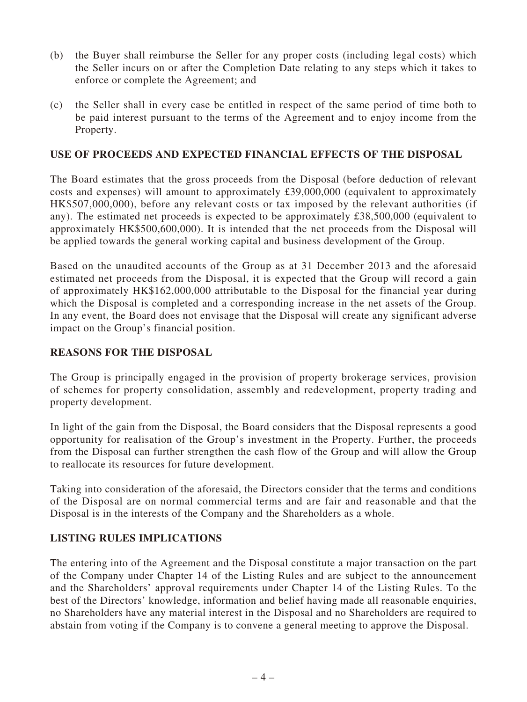- (b) the Buyer shall reimburse the Seller for any proper costs (including legal costs) which the Seller incurs on or after the Completion Date relating to any steps which it takes to enforce or complete the Agreement; and
- (c) the Seller shall in every case be entitled in respect of the same period of time both to be paid interest pursuant to the terms of the Agreement and to enjoy income from the Property.

#### **USE OF PROCEEDS AND EXPECTED FINANCIAL EFFECTS OF THE DISPOSAL**

The Board estimates that the gross proceeds from the Disposal (before deduction of relevant costs and expenses) will amount to approximately £39,000,000 (equivalent to approximately HK\$507,000,000), before any relevant costs or tax imposed by the relevant authorities (if any). The estimated net proceeds is expected to be approximately £38,500,000 (equivalent to approximately HK\$500,600,000). It is intended that the net proceeds from the Disposal will be applied towards the general working capital and business development of the Group.

Based on the unaudited accounts of the Group as at 31 December 2013 and the aforesaid estimated net proceeds from the Disposal, it is expected that the Group will record a gain of approximately HK\$162,000,000 attributable to the Disposal for the financial year during which the Disposal is completed and a corresponding increase in the net assets of the Group. In any event, the Board does not envisage that the Disposal will create any significant adverse impact on the Group's financial position.

#### **REASONS FOR THE DISPOSAL**

The Group is principally engaged in the provision of property brokerage services, provision of schemes for property consolidation, assembly and redevelopment, property trading and property development.

In light of the gain from the Disposal, the Board considers that the Disposal represents a good opportunity for realisation of the Group's investment in the Property. Further, the proceeds from the Disposal can further strengthen the cash flow of the Group and will allow the Group to reallocate its resources for future development.

Taking into consideration of the aforesaid, the Directors consider that the terms and conditions of the Disposal are on normal commercial terms and are fair and reasonable and that the Disposal is in the interests of the Company and the Shareholders as a whole.

#### **LISTING RULES IMPLICATIONS**

The entering into of the Agreement and the Disposal constitute a major transaction on the part of the Company under Chapter 14 of the Listing Rules and are subject to the announcement and the Shareholders' approval requirements under Chapter 14 of the Listing Rules. To the best of the Directors' knowledge, information and belief having made all reasonable enquiries, no Shareholders have any material interest in the Disposal and no Shareholders are required to abstain from voting if the Company is to convene a general meeting to approve the Disposal.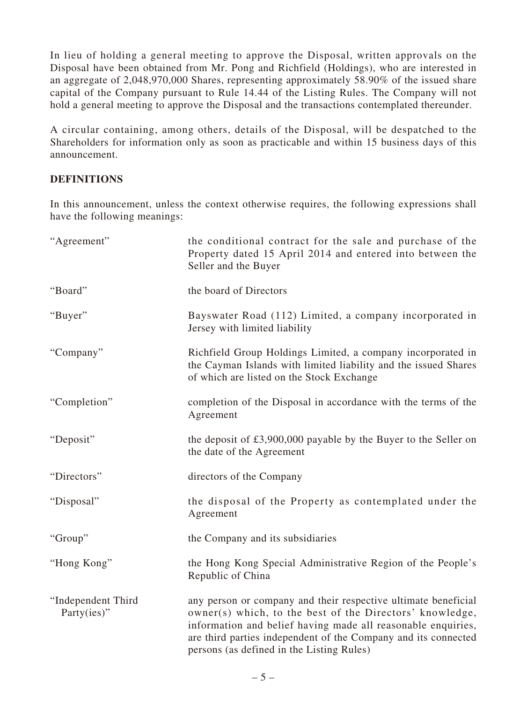In lieu of holding a general meeting to approve the Disposal, written approvals on the Disposal have been obtained from Mr. Pong and Richfield (Holdings), who are interested in an aggregate of 2,048,970,000 Shares, representing approximately 58.90% of the issued share capital of the Company pursuant to Rule 14.44 of the Listing Rules. The Company will not hold a general meeting to approve the Disposal and the transactions contemplated thereunder.

A circular containing, among others, details of the Disposal, will be despatched to the Shareholders for information only as soon as practicable and within 15 business days of this announcement.

## **DEFINITIONS**

In this announcement, unless the context otherwise requires, the following expressions shall have the following meanings:

| "Agreement"                       | the conditional contract for the sale and purchase of the<br>Property dated 15 April 2014 and entered into between the<br>Seller and the Buyer                                                                                                                                                            |
|-----------------------------------|-----------------------------------------------------------------------------------------------------------------------------------------------------------------------------------------------------------------------------------------------------------------------------------------------------------|
| "Board"                           | the board of Directors                                                                                                                                                                                                                                                                                    |
| "Buyer"                           | Bayswater Road (112) Limited, a company incorporated in<br>Jersey with limited liability                                                                                                                                                                                                                  |
| "Company"                         | Richfield Group Holdings Limited, a company incorporated in<br>the Cayman Islands with limited liability and the issued Shares<br>of which are listed on the Stock Exchange                                                                                                                               |
| "Completion"                      | completion of the Disposal in accordance with the terms of the<br>Agreement                                                                                                                                                                                                                               |
| "Deposit"                         | the deposit of $£3,900,000$ payable by the Buyer to the Seller on<br>the date of the Agreement                                                                                                                                                                                                            |
| "Directors"                       | directors of the Company                                                                                                                                                                                                                                                                                  |
| "Disposal"                        | the disposal of the Property as contemplated under the<br>Agreement                                                                                                                                                                                                                                       |
| "Group"                           | the Company and its subsidiaries                                                                                                                                                                                                                                                                          |
| "Hong Kong"                       | the Hong Kong Special Administrative Region of the People's<br>Republic of China                                                                                                                                                                                                                          |
| "Independent Third<br>Party(ies)" | any person or company and their respective ultimate beneficial<br>owner(s) which, to the best of the Directors' knowledge,<br>information and belief having made all reasonable enquiries,<br>are third parties independent of the Company and its connected<br>persons (as defined in the Listing Rules) |